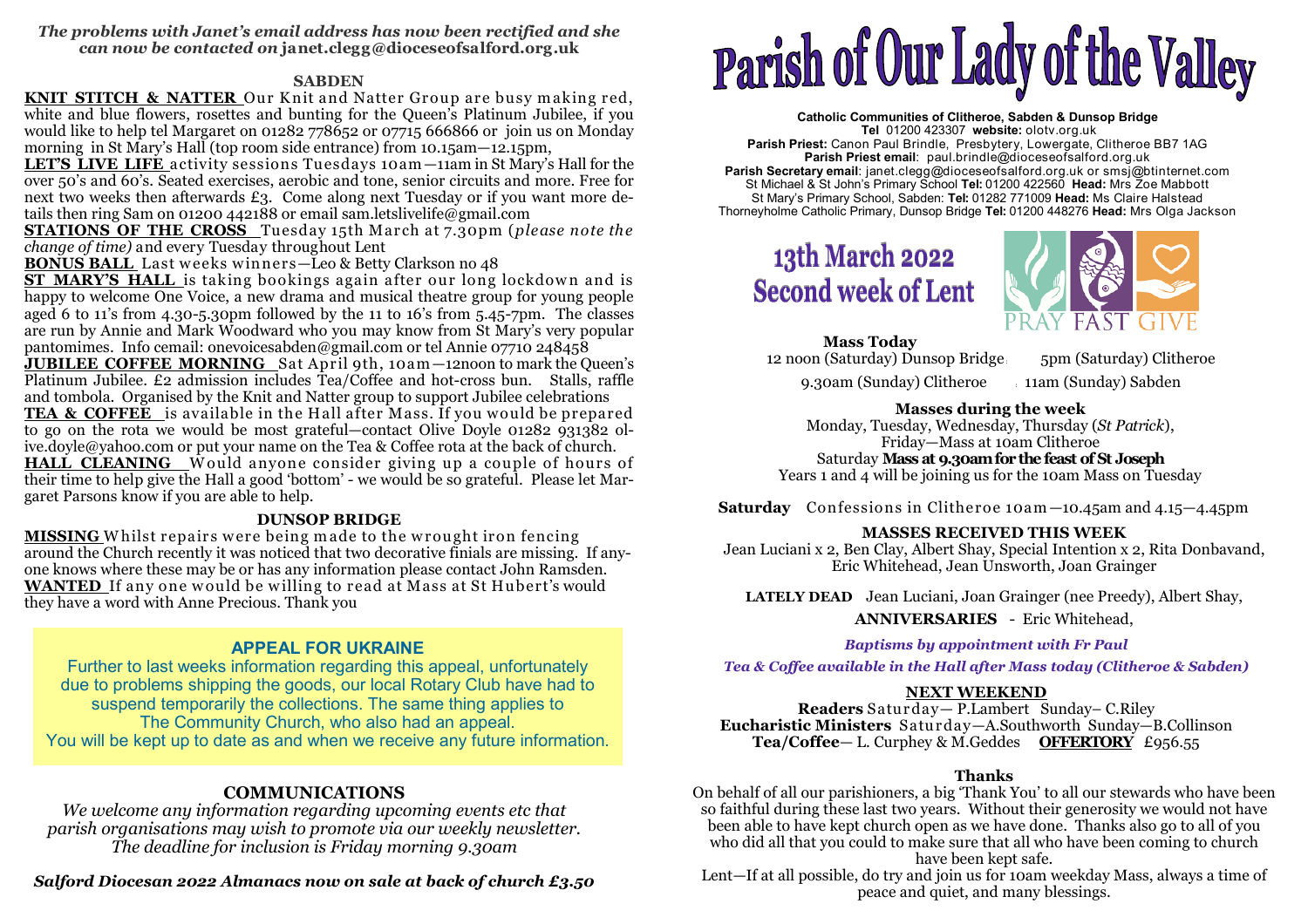#### *The problems with Janet's email address has now been rectified and she can now be contacted on* **janet.clegg@dioceseofsalford.org.uk**

### **SABDEN**

KNIT STITCH & NATTER Our Knit and Natter Group are busy making red, **KNIT STITCH & NATTER** Our K nit and Natter Group are busy m aking red, white and blue flowers, rosettes and bunting for the Queen's Platinum Jubilee, if you would like to help tel Margaret on 01282 778652 or 07715 666866 or join us on Monday morning in St Mary's Hall (top room side entrance) from 10.15am—12.15pm,

 **LET'S LIVE LIFE** activity sessions Tuesdays 10am —11am in St Mary's Hall for the over 50's and 60's. Seated exercises, aerobic and tone, senior circuits and more. Free for next two weeks then afterwards £3. Come along next Tuesday or if you want more details then ring Sam on 01200 442188 or email sam.letslivelife@gmail.com

 **STATIONS OF THE CROSS** Tuesday 15th March at 7.30pm (*please note the change of time)* and every Tuesday throughout Lent

**BONUS BALL** Last weeks winners-Leo & Betty Clarkson no 48 **BONUS BALL** Last weeks winners—Leo & Betty Clarkson no 48<br>ST\_MARY'S\_HALL\_is\_taking bookings\_again\_after\_our\_long

**ST MARY'S HALL** is taking bookings again after our long lockdown and is<br>happy to welcome One Voice, a new drama and musical theatre group for young people happy to welcome One Voice, a new drama and musical theatre group for young people aged 6 to 11's from 4.30-5.30pm followed by the 11 to 16's from 5.45-7pm. The classes are run by Annie and Mark Woodward who you may know from St Mary's very popular pantomimes. Info cemail: onevoicesabden@gmail.com or tel Annie 07710 248458 **JUBILEE COFFEE MORNING** Sat April 9th, 10am -12noon to mark the Queen's **JUBILEE COFFEE MORNING** Sat April 9th, 10am —12noon to mark the Queen's Platinum Jubilee. £2 admission includes Tea/Coffee and hot-cross bun. Stalls, raffle and tombola. Organised by the Knit and Natter group to support Jubilee celebrations **TEA & COFFEE** is available in the Hall after Mass. If you would be prepared to go on the rota we would be most grateful—contact Olive Doyle 01282 931382 olive.doyle@yahoo.com or put your name on the Tea & Coffee rota at the back of church. **HALL\_CLEANING\_\_**Would\_anyone\_consider\_giving\_up\_a\_couple\_of\_hours\_of\_<br>their time to help give the Hall a good 'bottom' - we would be so grateful.\_Please let Martheir time to help give the Hall a good 'bottom' - we would be so grateful. Please let Margaret Parsons know if you are able to help.

## **DUNSOP BRIDGE**

 **MISSING** <sup>W</sup> hilst repairs w ere being m ade to the w rought iron fencing around the Church recently it was noticed that two decorative finials are missing. If anyone knows where these may be or has any information please contact John Ramsden. **WANTED** If any one w ould be w illing to read at Mass at St Hubert's would they have a word with Anne Precious. Thank you

# **APPEAL FOR UKRAINE**

 Further to last weeks information regarding this appeal, unfortunately due to problems shipping the goods, our local Rotary Club have had to suspend temporarily the collections. The same thing applies toThe Community Church, who also had an appeal. You will be kept up to date as and when we receive any future information.

# **COMMUNICATIONS**

 *We welcome any information regarding upcoming events etc that parish organisations may wish to promote via our weekly newsletter. The deadline for inclusion is Friday morning 9.30am*

# *Salford Diocesan 2022 Almanacs now on sale at back of church £3.50*

# Parish of Our Lady of the Valley

**Catholic Communities of Clitheroe, Sabden & Dunsop Bridge Tel** 01200 423307 **website:** olotv.org.uk **Parish Priest:** Canon Paul Brindle, Presbytery, Lowergate, Clitheroe BB7 1AG**Parish Priest email**: paul.brindle@dioceseofsalford.org.uk **Parish Secretary email**: janet.clegg@dioceseofsalford.org.uk or smsj@btinternet.com St Michael & St John's Primary School **Tel:** 01200 422560 **Head:** Mrs Zoe Mabbott St Mary's Primary School, Sabden: **Tel:** 01282 771009 **Head:** Ms Claire HalsteadThorneyholme Catholic Primary, Dunsop Bridge **Tel:** 01200 448276 **Head:** Mrs Olga Jackson

# **13th March 2022 Second week of Lent**



**Mass Today**12 noon (Saturday) Dunsop Bridge 5pm (Saturday) Clitheroe

9.30am (Sunday) Clitheroe : 11am (Sunday) Sabden

#### **Masses during the week**

 Monday, Tuesday, Wednesday, Thursday (*St Patrick*), Friday—Mass at 10am Clitheroe

 Saturday **Mass at 9.30am for the feast of St Joseph** Years 1 and 4 will be joining us for the 10am Mass on Tuesday

**Saturday** Confessions in Clitheroe 10am —10.45am and 4.15—4.45pm

# **MASSES RECEIVED THIS WEEK**

 Jean Luciani x 2, Ben Clay, Albert Shay, Special Intention x 2, Rita Donbavand, Eric Whitehead, Jean Unsworth, Joan Grainger

**LATELY DEAD** Jean Luciani, Joan Grainger (nee Preedy), Albert Shay,

**ANNIVERSARIES** - Eric Whitehead,

*Baptisms by appointment with Fr Paul*

*Tea & Coffee available in the Hall after Mass today (Clitheroe & Sabden)* 

# **NEXT WEEKEND**

 **Readers** Saturday— P.Lambert Sunday– C.Riley **Eucharistic Ministers** Saturday—A.Southworth Sunday—B.Collinson **Tea/Coffee**— L. Curphey & M.Geddes **OFFERTORY** £956.55

# **Thanks**

 On behalf of all our parishioners, a big 'Thank You' to all our stewards who have been so faithful during these last two years. Without their generosity we would not have been able to have kept church open as we have done. Thanks also go to all of you who did all that you could to make sure that all who have been coming to church have been kept safe.

 Lent—If at all possible, do try and join us for 10am weekday Mass, always a time of peace and quiet, and many blessings.